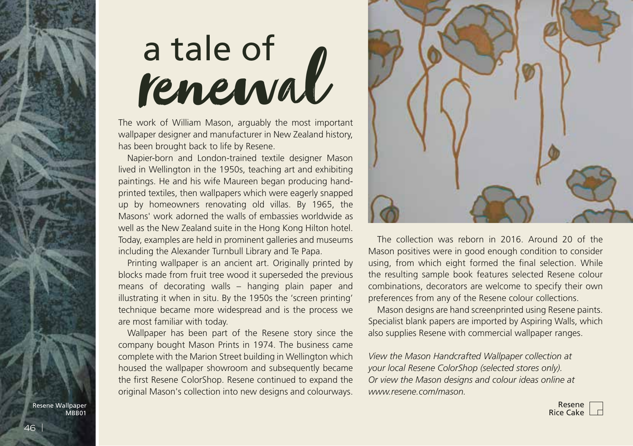## a tale of<br>**renewal**

The work of William Mason, arguably the most important wallpaper designer and manufacturer in New Zealand history, has been brought back to life by Resene.

Napier-born and London-trained textile designer Mason lived in Wellington in the 1950s, teaching art and exhibiting paintings. He and his wife Maureen began producing handprinted textiles, then wallpapers which were eagerly snapped up by homeowners renovating old villas. By 1965, the Masons' work adorned the walls of embassies worldwide as well as the New Zealand suite in the Hong Kong Hilton hotel. Today, examples are held in prominent galleries and museums including the Alexander Turnbull Library and Te Papa.

Printing wallpaper is an ancient art. Originally printed by blocks made from fruit tree wood it superseded the previous means of decorating walls – hanging plain paper and illustrating it when in situ. By the 1950s the 'screen printing' technique became more widespread and is the process we are most familiar with today.

Wallpaper has been part of the Resene story since the company bought Mason Prints in 1974. The business came complete with the Marion Street building in Wellington which housed the wallpaper showroom and subsequently became the first Resene ColorShop. Resene continued to expand the original Mason's collection into new designs and colourways.



The collection was reborn in 2016. Around 20 of the Mason positives were in good enough condition to consider using, from which eight formed the final selection. While the resulting sample book features selected Resene colour combinations, decorators are welcome to specify their own preferences from any of the Resene colour collections.

Mason designs are hand screenprinted using Resene paints. Specialist blank papers are imported by Aspiring Walls, which also supplies Resene with commercial wallpaper ranges.

*View the Mason Handcrafted Wallpaper collection at your local Resene ColorShop (selected stores only). Or view the Mason designs and colour ideas online at www.resene.com/mason.*

Resene Wallpaper MBB01